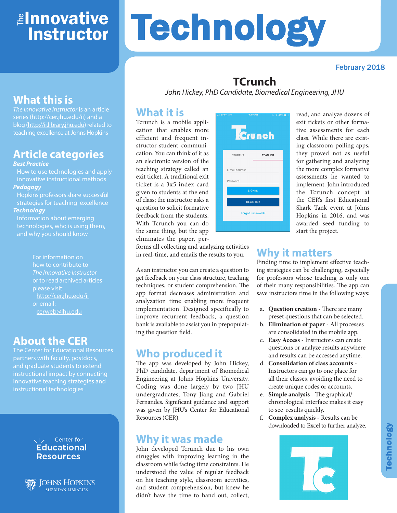## ≇l<mark>nnovative</mark> Instructor

# **Technology**

#### February 2018

## **TCrunch**

*John Hickey, PhD Candidate, Biomedical Engineering, JHU*

## **What it is**

Tcrunch is a mobile application that enables more efficient and frequent instructor-student communication. You can think of it as an electronic version of the teaching strategy called an exit ticket. A traditional exit ticket is a 3x5 index card given to students at the end of class; the instructor asks a question to solicit formative feedback from the students. With Tcrunch you can do the same thing, but the app eliminates the paper, per-



read, and analyze dozens of exit tickets or other formative assessments for each class. While there are existing classroom polling apps, they proved not as useful for gathering and analyzing the more complex formative assessments he wanted to implement. John introduced the Tcrunch concept at the CER's first Educational Shark Tank event at Johns Hopkins in 2016, and was awarded seed funding to start the project.

forms all collecting and analyzing activities in real-time, and emails the results to you.

As an instructor you can create a question to get feedback on your class structure, teaching techniques, or student comprehension. The app format decreases administration and analyzation time enabling more frequent implementation. Designed specifically to improve recurrent feedback, a question bank is available to assist you in prepopulating the question field.

## **Who produced it**

The app was developed by John Hickey, PhD candidate, department of Biomedical Engineering at Johns Hopkins University. Coding was done largely by two JHU undergraduates, Tony Jiang and Gabriel Fernandes. Significant guidance and support was given by JHU's Center for Educational Resources (CER).

### **Why it was made**

John developed Tcrunch due to his own struggles with improving learning in the classroom while facing time constraints. He understood the value of regular feedback on his teaching style, classroom activities, and student comprehension, but knew he didn't have the time to hand out, collect,

## **Why it matters**

Finding time to implement effective teaching strategies can be challenging, especially for professors whose teaching is only one of their many responsibilities. The app can save instructors time in the following ways:

- a. **Question creation -** There are many preset questions that can be selected.
- b. **Elimination of paper** All processes are consolidated in the mobile app.
- c. **Easy Access** Instructors can create questions or analyze results anywhere and results can be accessed anytime.
- d. **Consolidation of class accounts** Instructors can go to one place for all their classes, avoiding the need to create unique codes or accounts.
- e. **Simple analysis** The graphical/ chronological interface makes it easy to see results quickly.
- f. **Complex analysis** Results can be downloaded to Excel to further analyze.



## **What this is**

*The Innovative Instructor* is an article series (http://cer.jhu.edu/ii) and a blog (http://ii.library.jhu.edu) related to teaching excellence at Johns Hopkins

## **Article categories**

#### *Best Practice*

How to use technologies and apply innovative instructional methods *Pedagogy*

Hopkins professors share successful strategies for teaching excellence *Technology*

Information about emerging technologies, who is using them, and why you should know

> For information on how to contribute to *The Innovative Instructor* or to read archived articles please visit: http://cer.jhu.edu/ii or email: cerweb@jhu.edu

## **About the CER**

The Center for Educational Resources partners with faculty, postdocs, and graduate students to extend instructional impact by connecting innovative teaching strategies and instructional technologies





**JOHNS HOPKINS SHERIDAN LIBRARIES**